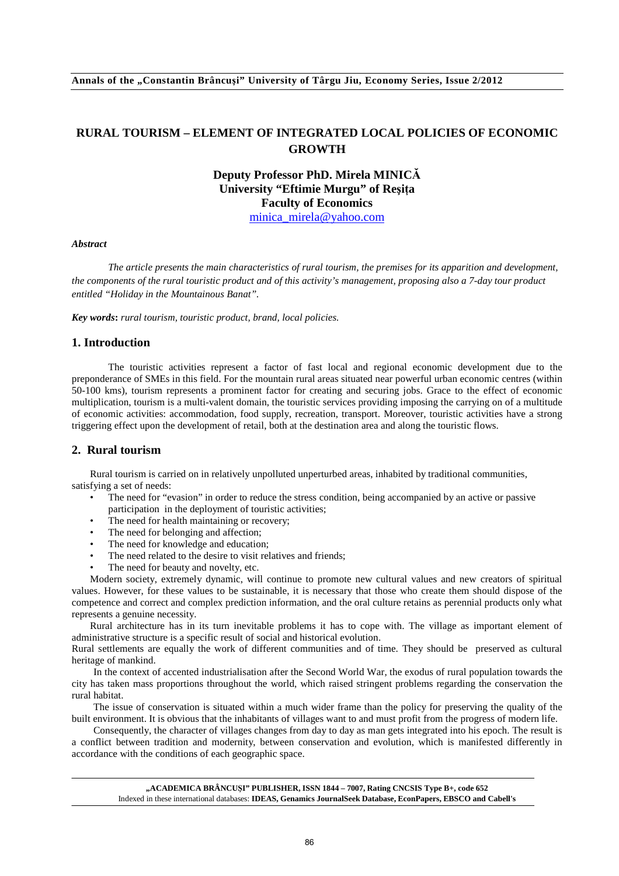# **RURAL TOURISM – ELEMENT OF INTEGRATED LOCAL POLICIES OF ECONOMIC GROWTH**

# **Deputy Professor PhD. Mirela MINICĂ University "Eftimie Murgu" of Reşiţa Faculty of Economics**

minica\_mirela@yahoo.com

### *Abstract*

*The article presents the main characteristics of rural tourism, the premises for its apparition and development, the components of the rural touristic product and of this activity's management, proposing also a 7-day tour product entitled "Holiday in the Mountainous Banat".* 

*Key words***:** *rural tourism, touristic product, brand, local policies.* 

#### **1. Introduction**

The touristic activities represent a factor of fast local and regional economic development due to the preponderance of SMEs in this field. For the mountain rural areas situated near powerful urban economic centres (within 50-100 kms), tourism represents a prominent factor for creating and securing jobs. Grace to the effect of economic multiplication, tourism is a multi-valent domain, the touristic services providing imposing the carrying on of a multitude of economic activities: accommodation, food supply, recreation, transport. Moreover, touristic activities have a strong triggering effect upon the development of retail, both at the destination area and along the touristic flows.

### **2. Rural tourism**

Rural tourism is carried on in relatively unpolluted unperturbed areas, inhabited by traditional communities, satisfying a set of needs:

- The need for "evasion" in order to reduce the stress condition, being accompanied by an active or passive participation in the deployment of touristic activities;
- The need for health maintaining or recovery;
- The need for belonging and affection;
- The need for knowledge and education;
- The need related to the desire to visit relatives and friends;
- The need for beauty and novelty, etc.

Modern society, extremely dynamic, will continue to promote new cultural values and new creators of spiritual values. However, for these values to be sustainable, it is necessary that those who create them should dispose of the competence and correct and complex prediction information, and the oral culture retains as perennial products only what represents a genuine necessity.

Rural architecture has in its turn inevitable problems it has to cope with. The village as important element of administrative structure is a specific result of social and historical evolution.

Rural settlements are equally the work of different communities and of time. They should be preserved as cultural heritage of mankind.

In the context of accented industrialisation after the Second World War, the exodus of rural population towards the city has taken mass proportions throughout the world, which raised stringent problems regarding the conservation the rural habitat.

The issue of conservation is situated within a much wider frame than the policy for preserving the quality of the built environment. It is obvious that the inhabitants of villages want to and must profit from the progress of modern life.

Consequently, the character of villages changes from day to day as man gets integrated into his epoch. The result is a conflict between tradition and modernity, between conservation and evolution, which is manifested differently in accordance with the conditions of each geographic space.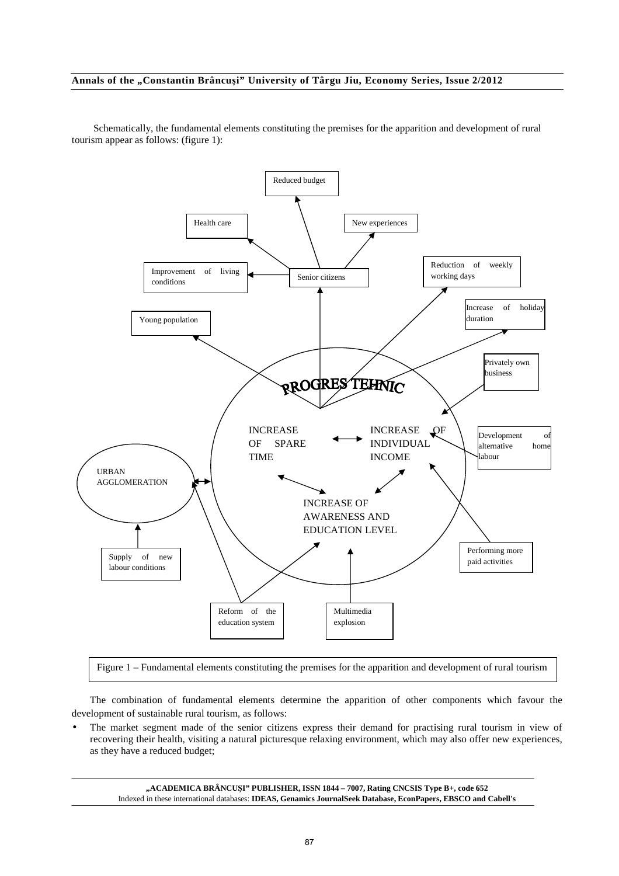Reduced budget Health care New experiences Reduction of weekly Improvement of living working days  $\overline{\text{conditions}}$  Senior citizens Increase of holiday duration Young population Privately own business RROGRES TEHNIC INCREASE INCREASE OF Development of INDIVIDUAL OF SPARE alternative home TIME INCOME labour URBAN AGGLOMERATION INCREASE OF AWARENESS AND EDUCATION LEVEL Performing more Supply of new paid activities labour conditions Reform of the Multimedia education system explosion

Schematically, the fundamental elements constituting the premises for the apparition and development of rural tourism appear as follows: (figure 1):

Figure 1 – Fundamental elements constituting the premises for the apparition and development of rural tourism

The combination of fundamental elements determine the apparition of other components which favour the development of sustainable rural tourism, as follows:

The market segment made of the senior citizens express their demand for practising rural tourism in view of recovering their health, visiting a natural picturesque relaxing environment, which may also offer new experiences, as they have a reduced budget;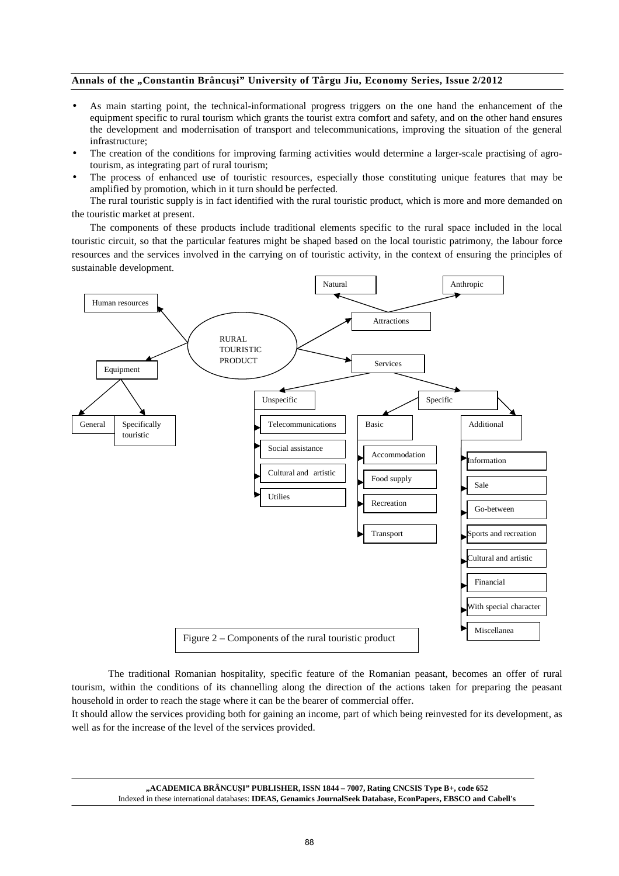- As main starting point, the technical-informational progress triggers on the one hand the enhancement of the equipment specific to rural tourism which grants the tourist extra comfort and safety, and on the other hand ensures the development and modernisation of transport and telecommunications, improving the situation of the general infrastructure;
- The creation of the conditions for improving farming activities would determine a larger-scale practising of agrotourism, as integrating part of rural tourism;
- The process of enhanced use of touristic resources, especially those constituting unique features that may be amplified by promotion, which in it turn should be perfected.

The rural touristic supply is in fact identified with the rural touristic product, which is more and more demanded on the touristic market at present.

The components of these products include traditional elements specific to the rural space included in the local touristic circuit, so that the particular features might be shaped based on the local touristic patrimony, the labour force resources and the services involved in the carrying on of touristic activity, in the context of ensuring the principles of sustainable development.



The traditional Romanian hospitality, specific feature of the Romanian peasant, becomes an offer of rural tourism, within the conditions of its channelling along the direction of the actions taken for preparing the peasant household in order to reach the stage where it can be the bearer of commercial offer.

It should allow the services providing both for gaining an income, part of which being reinvested for its development, as well as for the increase of the level of the services provided.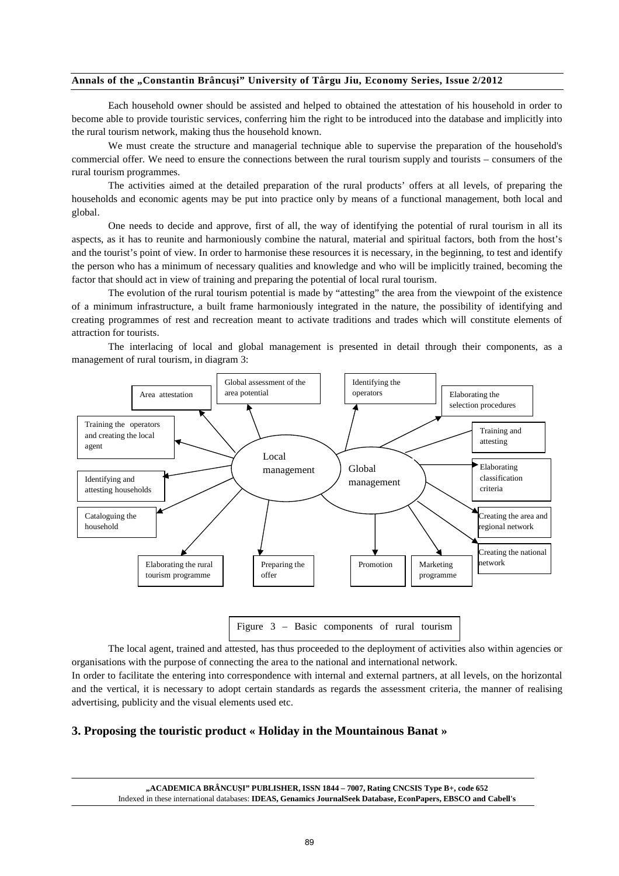Each household owner should be assisted and helped to obtained the attestation of his household in order to become able to provide touristic services, conferring him the right to be introduced into the database and implicitly into the rural tourism network, making thus the household known.

We must create the structure and managerial technique able to supervise the preparation of the household's commercial offer. We need to ensure the connections between the rural tourism supply and tourists – consumers of the rural tourism programmes.

The activities aimed at the detailed preparation of the rural products' offers at all levels, of preparing the households and economic agents may be put into practice only by means of a functional management, both local and global.

One needs to decide and approve, first of all, the way of identifying the potential of rural tourism in all its aspects, as it has to reunite and harmoniously combine the natural, material and spiritual factors, both from the host's and the tourist's point of view. In order to harmonise these resources it is necessary, in the beginning, to test and identify the person who has a minimum of necessary qualities and knowledge and who will be implicitly trained, becoming the factor that should act in view of training and preparing the potential of local rural tourism.

The evolution of the rural tourism potential is made by "attesting" the area from the viewpoint of the existence of a minimum infrastructure, a built frame harmoniously integrated in the nature, the possibility of identifying and creating programmes of rest and recreation meant to activate traditions and trades which will constitute elements of attraction for tourists.

The interlacing of local and global management is presented in detail through their components, as a management of rural tourism, in diagram 3:



The local agent, trained and attested, has thus proceeded to the deployment of activities also within agencies or organisations with the purpose of connecting the area to the national and international network. management of the state of the state of the state of the state of the state of the state of the state of the s

In order to facilitate the entering into correspondence with internal and external partners, at all levels, on the horizontal and the vertical, it is necessary to adopt certain standards as regards the assessment criteria, the manner of realising advertising, publicity and the visual elements used etc.

### **3. Proposing the touristic product « Holiday in the Mountainous Banat »**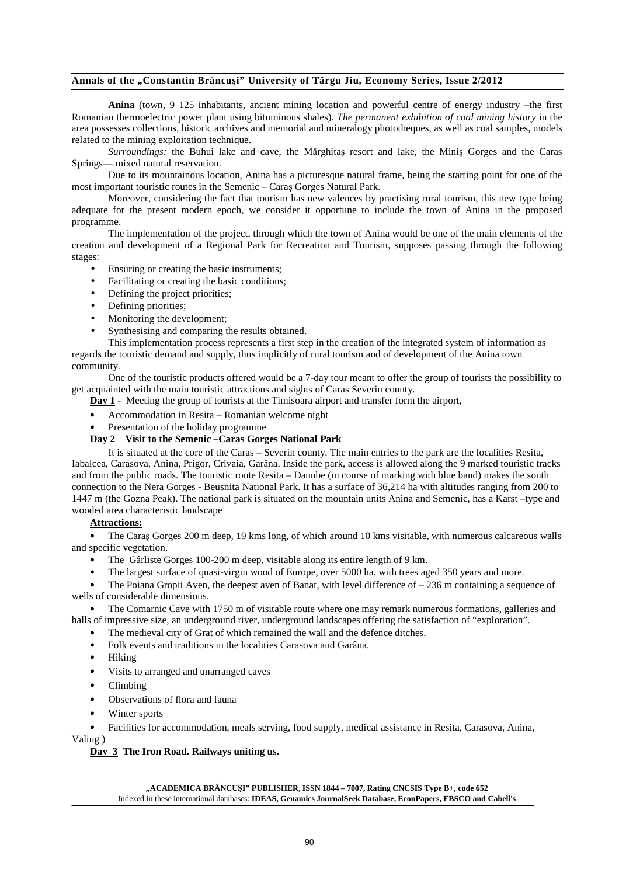**Anina** (town, 9 125 inhabitants, ancient mining location and powerful centre of energy industry –the first Romanian thermoelectric power plant using bituminous shales). *The permanent exhibition of coal mining history* in the area possesses collections, historic archives and memorial and mineralogy phototheques, as well as coal samples, models related to the mining exploitation technique.

*Surroundings:* the Buhui lake and cave, the Mărghitaş resort and lake, the Miniş Gorges and the Caras Springs— mixed natural reservation.

Due to its mountainous location, Anina has a picturesque natural frame, being the starting point for one of the most important touristic routes in the Semenic – Caraş Gorges Natural Park.

Moreover, considering the fact that tourism has new valences by practising rural tourism, this new type being adequate for the present modern epoch, we consider it opportune to include the town of Anina in the proposed programme.

The implementation of the project, through which the town of Anina would be one of the main elements of the creation and development of a Regional Park for Recreation and Tourism, supposes passing through the following stages:

- Ensuring or creating the basic instruments;
- Facilitating or creating the basic conditions;
- Defining the project priorities;
- Defining priorities;
- Monitoring the development;
- Synthesising and comparing the results obtained.

This implementation process represents a first step in the creation of the integrated system of information as regards the touristic demand and supply, thus implicitly of rural tourism and of development of the Anina town community.

One of the touristic products offered would be a 7-day tour meant to offer the group of tourists the possibility to get acquainted with the main touristic attractions and sights of Caras Severin county.

**Day 1** - Meeting the group of tourists at the Timisoara airport and transfer form the airport,

- Accommodation in Resita Romanian welcome night
- Presentation of the holiday programme

### **Day 2 Visit to the Semenic –Caras Gorges National Park**

It is situated at the core of the Caras – Severin county. The main entries to the park are the localities Resita, Iabalcea, Carasova, Anina, Prigor, Crivaia, Garâna. Inside the park, access is allowed along the 9 marked touristic tracks and from the public roads. The touristic route Resita – Danube (in course of marking with blue band) makes the south connection to the Nera Gorges - Beusnita National Park. It has a surface of 36,214 ha with altitudes ranging from 200 to 1447 m (the Gozna Peak). The national park is situated on the mountain units Anina and Semenic, has a Karst –type and wooded area characteristic landscape

#### **Attractions:**

• The Caraş Gorges 200 m deep, 19 kms long, of which around 10 kms visitable, with numerous calcareous walls and specific vegetation.

- The Gârliste Gorges 100-200 m deep, visitable along its entire length of 9 km.
- The largest surface of quasi-virgin wood of Europe, over 5000 ha, with trees aged 350 years and more.

The Poiana Gropii Aven, the deepest aven of Banat, with level difference of  $-236$  m containing a sequence of wells of considerable dimensions.

• The Comarnic Cave with 1750 m of visitable route where one may remark numerous formations, galleries and halls of impressive size, an underground river, underground landscapes offering the satisfaction of "exploration".

- The medieval city of Grat of which remained the wall and the defence ditches.
- Folk events and traditions in the localities Carasova and Garâna.
- Hiking
- Visits to arranged and unarranged caves
- Climbing
- Observations of flora and fauna
- Winter sports

• Facilities for accommodation, meals serving, food supply, medical assistance in Resita, Carasova, Anina,

Valiug )

#### **Day 3 The Iron Road. Railways uniting us.**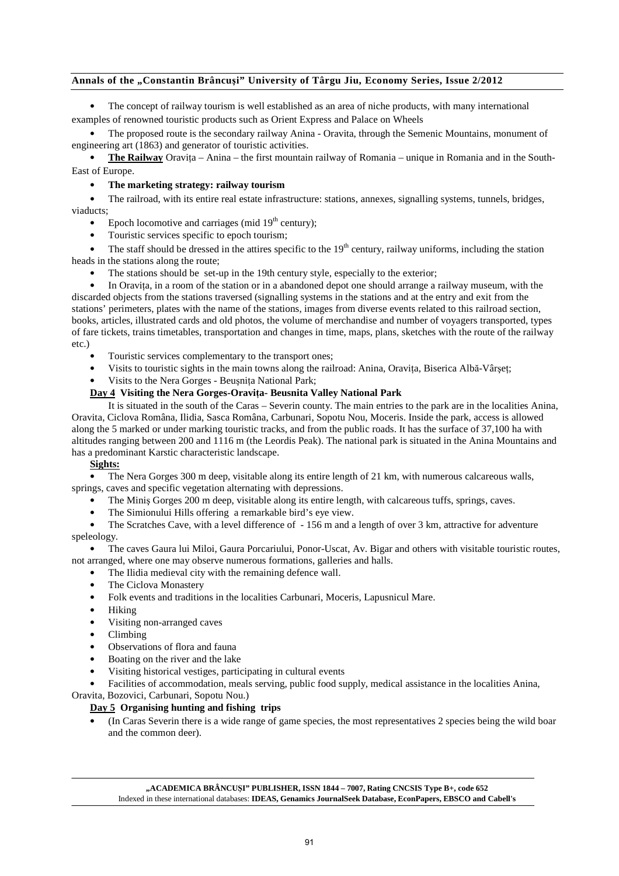The concept of railway tourism is well established as an area of niche products, with many international examples of renowned touristic products such as Orient Express and Palace on Wheels

• The proposed route is the secondary railway Anina - Oravita, through the Semenic Mountains, monument of engineering art (1863) and generator of touristic activities.

**The Railway** Oravita – Anina – the first mountain railway of Romania – unique in Romania and in the South-East of Europe.

### • **The marketing strategy: railway tourism**

• The railroad, with its entire real estate infrastructure: stations, annexes, signalling systems, tunnels, bridges, viaducts;

- Epoch locomotive and carriages (mid  $19<sup>th</sup>$  century);
- Touristic services specific to epoch tourism;

The staff should be dressed in the attires specific to the  $19<sup>th</sup>$  century, railway uniforms, including the station heads in the stations along the route;

The stations should be set-up in the 19th century style, especially to the exterior;

In Oravita, in a room of the station or in a abandoned depot one should arrange a railway museum, with the discarded objects from the stations traversed (signalling systems in the stations and at the entry and exit from the stations' perimeters, plates with the name of the stations, images from diverse events related to this railroad section, books, articles, illustrated cards and old photos, the volume of merchandise and number of voyagers transported, types of fare tickets, trains timetables, transportation and changes in time, maps, plans, sketches with the route of the railway etc.)

- Touristic services complementary to the transport ones;
- Visits to touristic sights in the main towns along the railroad: Anina, Oravita, Biserica Albă-Vârset;
- Visits to the Nera Gorges Beuşniţa National Park;

### **Day 4 Visiting the Nera Gorges-Oraviţa- Beusnita Valley National Park**

It is situated in the south of the Caras – Severin county. The main entries to the park are in the localities Anina, Oravita, Ciclova Româna, Ilidia, Sasca Româna, Carbunari, Sopotu Nou, Moceris. Inside the park, access is allowed along the 5 marked or under marking touristic tracks, and from the public roads. It has the surface of 37,100 ha with altitudes ranging between 200 and 1116 m (the Leordis Peak). The national park is situated in the Anina Mountains and has a predominant Karstic characteristic landscape.

### **Sights:**

• The Nera Gorges 300 m deep, visitable along its entire length of 21 km, with numerous calcareous walls, springs, caves and specific vegetation alternating with depressions.

- The Miniş Gorges 200 m deep, visitable along its entire length, with calcareous tuffs, springs, caves.
- The Simionului Hills offering a remarkable bird's eye view.

The Scratches Cave, with a level difference of - 156 m and a length of over 3 km, attractive for adventure speleology.

• The caves Gaura lui Miloi, Gaura Porcariului, Ponor-Uscat, Av. Bigar and others with visitable touristic routes, not arranged, where one may observe numerous formations, galleries and halls.

- The Ilidia medieval city with the remaining defence wall.
- The Ciclova Monastery
- Folk events and traditions in the localities Carbunari, Moceris, Lapusnicul Mare.
- Hiking
- Visiting non-arranged caves
- Climbing
- Observations of flora and fauna
- Boating on the river and the lake
- Visiting historical vestiges, participating in cultural events
- Facilities of accommodation, meals serving, public food supply, medical assistance in the localities Anina,

# Oravita, Bozovici, Carbunari, Sopotu Nou.)

## **Day 5 Organising hunting and fishing trips**

• (In Caras Severin there is a wide range of game species, the most representatives 2 species being the wild boar and the common deer).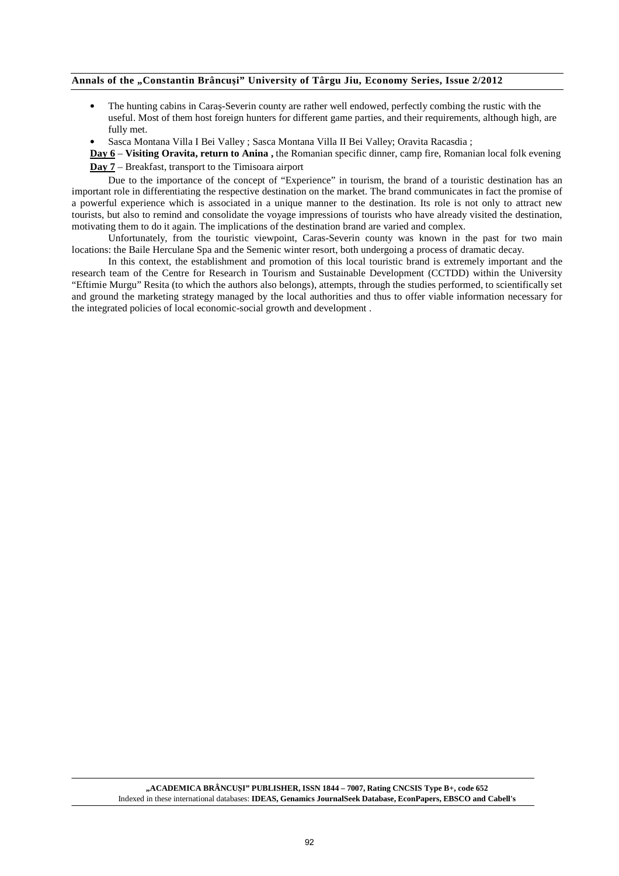- The hunting cabins in Caraş-Severin county are rather well endowed, perfectly combing the rustic with the useful. Most of them host foreign hunters for different game parties, and their requirements, although high, are fully met.
- Sasca Montana Villa I Bei Valley ; Sasca Montana Villa II Bei Valley; Oravita Racasdia ;

**Day 6** – **Visiting Oravita, return to Anina ,** the Romanian specific dinner, camp fire, Romanian local folk evening **Day 7** – Breakfast, transport to the Timisoara airport

Due to the importance of the concept of "Experience" in tourism, the brand of a touristic destination has an important role in differentiating the respective destination on the market. The brand communicates in fact the promise of a powerful experience which is associated in a unique manner to the destination. Its role is not only to attract new tourists, but also to remind and consolidate the voyage impressions of tourists who have already visited the destination, motivating them to do it again. The implications of the destination brand are varied and complex.

Unfortunately, from the touristic viewpoint, Caras-Severin county was known in the past for two main locations: the Baile Herculane Spa and the Semenic winter resort, both undergoing a process of dramatic decay.

In this context, the establishment and promotion of this local touristic brand is extremely important and the research team of the Centre for Research in Tourism and Sustainable Development (CCTDD) within the University "Eftimie Murgu" Resita (to which the authors also belongs), attempts, through the studies performed, to scientifically set and ground the marketing strategy managed by the local authorities and thus to offer viable information necessary for the integrated policies of local economic-social growth and development .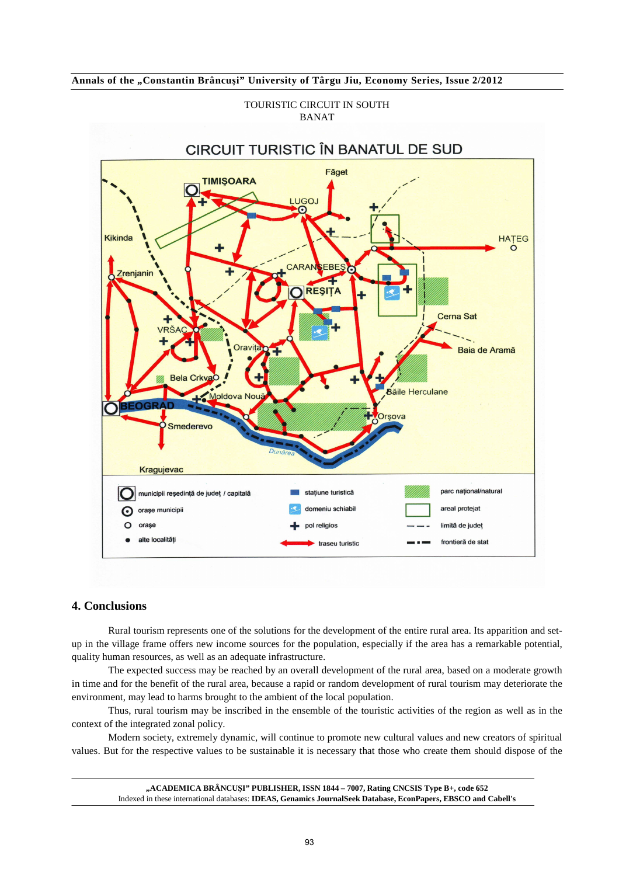



#### TOURISTIC CIRCUIT IN SOUTH BANAT

# **4. Conclusions**

Rural tourism represents one of the solutions for the development of the entire rural area. Its apparition and setup in the village frame offers new income sources for the population, especially if the area has a remarkable potential, quality human resources, as well as an adequate infrastructure.

The expected success may be reached by an overall development of the rural area, based on a moderate growth in time and for the benefit of the rural area, because a rapid or random development of rural tourism may deteriorate the environment, may lead to harms brought to the ambient of the local population.

Thus, rural tourism may be inscribed in the ensemble of the touristic activities of the region as well as in the context of the integrated zonal policy.

Modern society, extremely dynamic, will continue to promote new cultural values and new creators of spiritual values. But for the respective values to be sustainable it is necessary that those who create them should dispose of the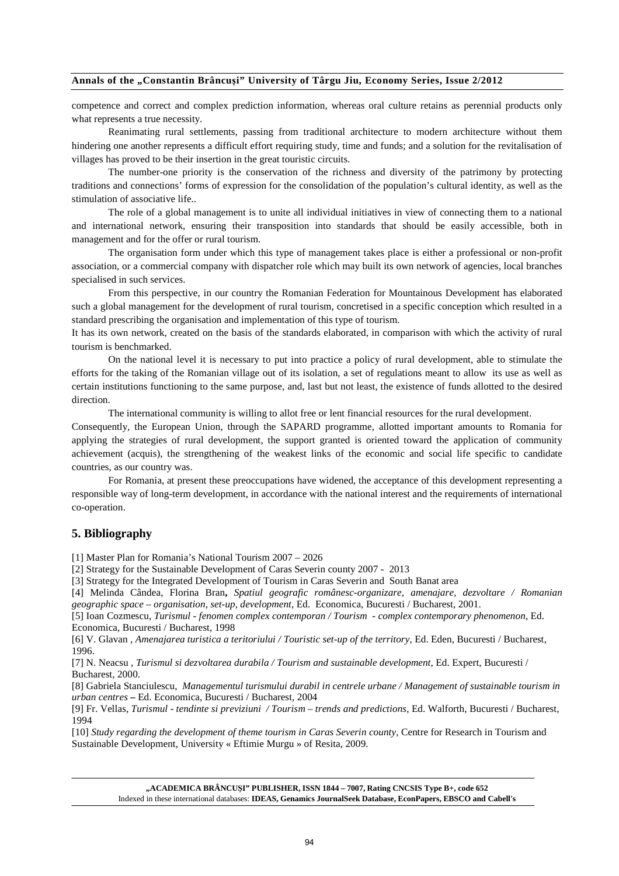competence and correct and complex prediction information, whereas oral culture retains as perennial products only what represents a true necessity.

Reanimating rural settlements, passing from traditional architecture to modern architecture without them hindering one another represents a difficult effort requiring study, time and funds; and a solution for the revitalisation of villages has proved to be their insertion in the great touristic circuits.

The number-one priority is the conservation of the richness and diversity of the patrimony by protecting traditions and connections' forms of expression for the consolidation of the population's cultural identity, as well as the stimulation of associative life..

The role of a global management is to unite all individual initiatives in view of connecting them to a national and international network, ensuring their transposition into standards that should be easily accessible, both in management and for the offer or rural tourism.

The organisation form under which this type of management takes place is either a professional or non-profit association, or a commercial company with dispatcher role which may built its own network of agencies, local branches specialised in such services.

From this perspective, in our country the Romanian Federation for Mountainous Development has elaborated such a global management for the development of rural tourism, concretised in a specific conception which resulted in a standard prescribing the organisation and implementation of this type of tourism.

It has its own network, created on the basis of the standards elaborated, in comparison with which the activity of rural tourism is benchmarked.

On the national level it is necessary to put into practice a policy of rural development, able to stimulate the efforts for the taking of the Romanian village out of its isolation, a set of regulations meant to allow its use as well as certain institutions functioning to the same purpose, and, last but not least, the existence of funds allotted to the desired direction.

The international community is willing to allot free or lent financial resources for the rural development.

Consequently, the European Union, through the SAPARD programme, allotted important amounts to Romania for applying the strategies of rural development, the support granted is oriented toward the application of community achievement (acquis), the strengthening of the weakest links of the economic and social life specific to candidate countries, as our country was.

For Romania, at present these preoccupations have widened, the acceptance of this development representing a responsible way of long-term development, in accordance with the national interest and the requirements of international co-operation.

### **5. Bibliography**

[1] Master Plan for Romania's National Tourism 2007 – 2026

[2] Strategy for the Sustainable Development of Caras Severin county 2007 - 2013

[3] Strategy for the Integrated Development of Tourism in Caras Severin and South Banat area

[4] Melinda Cândea, Florina Bran**,** *Spatiul geografic românesc-organizare, amenajare, dezvoltare / Romanian geographic space – organisation, set-up, development*, Ed. Economica, Bucuresti / Bucharest, 2001.

[5] Ioan Cozmescu, *Turismul - fenomen complex contemporan / Tourism - complex contemporary phenomenon*, Ed. Economica, Bucuresti / Bucharest, 1998

[6] V. Glavan , *Amenajarea turistica a teritoriului / Touristic set-up of the territory*, Ed. Eden, Bucuresti / Bucharest, 1996.

[7] N. Neacsu *, Turismul si dezvoltarea durabila / Tourism and sustainable development*, Ed. Expert, Bucuresti / Bucharest, 2000.

[8] Gabriela Stanciulescu, *Managementul turismului durabil in centrele urbane / Management of sustainable tourism in urban centres* **–** Ed. Economica, Bucuresti / Bucharest, 2004

[9] Fr. Vellas*, Turismul - tendinte si previziuni / Tourism – trends and predictions*, Ed. Walforth, Bucuresti / Bucharest, 1994

[10] *Study regarding the development of theme tourism in Caras Severin county*, Centre for Research in Tourism and Sustainable Development, University « Eftimie Murgu » of Resita, 2009.